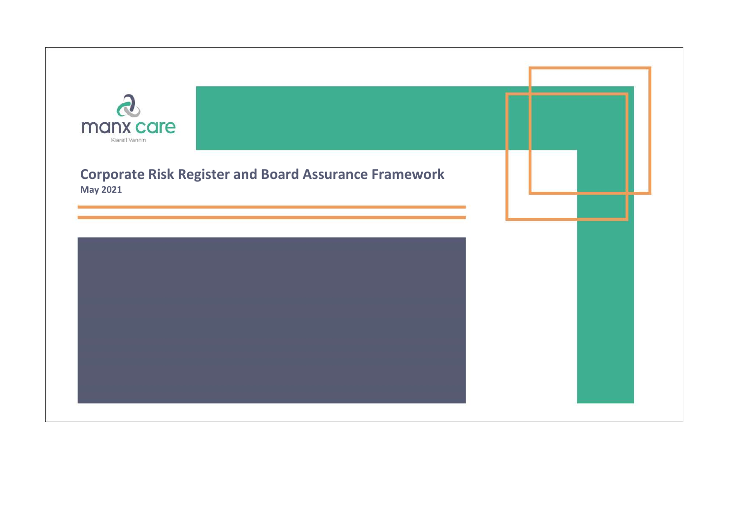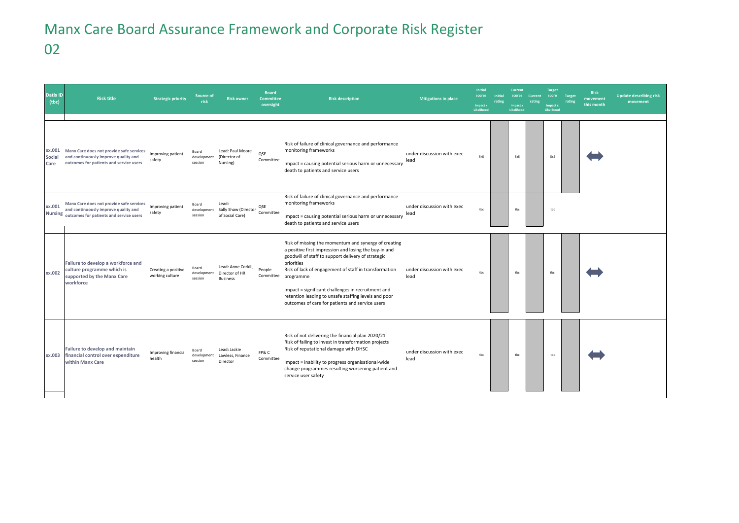## Manx Care Board Assurance Framework and Corporate Risk Register 02

| <b>Datix ID</b><br>(tbc) | <b>Risk title</b>                                                                                                                   | <b>Strategic priority</b>              | Source of<br><b>risk</b>        | <b>Risk owner</b>                                        | <b>Board</b><br><b>Committee</b><br>oversight | <b>Risk description</b>                                                                                                                                                                                                                                                                                                                                                                                                            | <b>Mitigations in place</b>        | <b>Initial</b><br>scores<br>Impact x<br>Likelihood | Initial<br>rating | <b>Current</b><br>Impact x<br>Likelihood | scores Current<br>rating | <b>Target</b><br>score<br><b>Impact x</b><br>Likelihood | Target<br>rating | <b>Risk</b><br>movement<br>this month | <b>Update describing risk</b><br>movement |
|--------------------------|-------------------------------------------------------------------------------------------------------------------------------------|----------------------------------------|---------------------------------|----------------------------------------------------------|-----------------------------------------------|------------------------------------------------------------------------------------------------------------------------------------------------------------------------------------------------------------------------------------------------------------------------------------------------------------------------------------------------------------------------------------------------------------------------------------|------------------------------------|----------------------------------------------------|-------------------|------------------------------------------|--------------------------|---------------------------------------------------------|------------------|---------------------------------------|-------------------------------------------|
| xx.001<br>Social<br>Care | Manx Care does not provide safe services<br>and continuously improve quality and<br>outcomes for patients and service users         | Improving patient<br>safety            | Board<br>development<br>session | Lead: Paul Moore<br>(Director of<br>Nursing)             | QSE<br>Committee                              | Risk of failure of clinical governance and performance<br>monitoring frameworks<br>Impact = causing potential serious harm or unnecessary<br>death to patients and service users                                                                                                                                                                                                                                                   | under discussion with exec<br>lead | 5x5                                                |                   | 5x5                                      |                          | 5x2                                                     |                  |                                       |                                           |
| xx.001                   | Manx Care does not provide safe services<br>and continuously improve quality and<br>Nursing outcomes for patients and service users | Improving patient<br>safety            | Board<br>development<br>session | Lead:<br>Sally Shaw (Director<br>of Social Care)         | OSE<br>Committee                              | Risk of failure of clinical governance and performance<br>monitoring frameworks<br>Impact = causing potential serious harm or unnecessary<br>death to patients and service users                                                                                                                                                                                                                                                   | under discussion with exec<br>lead | the                                                |                   | tbc                                      |                          | tbc                                                     |                  |                                       |                                           |
| xx.002                   | Failure to develop a workforce and<br>culture programme which is<br>supported by the Manx Care<br>workforce                         | Creating a positive<br>working culture | Board<br>development<br>session | Lead: Anne Corkill,<br>Director of HR<br><b>Business</b> | People                                        | Risk of missing the momentum and synergy of creating<br>a positive first impression and losing the buy-in and<br>goodwill of staff to support delivery of strategic<br>priorities<br>Risk of lack of engagement of staff in transformation<br>Committee programme<br>Impact = significant challenges in recruitment and<br>retention leading to unsafe staffing levels and poor<br>outcomes of care for patients and service users | under discussion with exec<br>lead | tbc                                                |                   | tbc                                      |                          | tbc                                                     |                  |                                       |                                           |
| xx.003                   | Failure to develop and maintain<br>financial control over expenditure<br>within Manx Care                                           | Improving financial<br>health          | Board<br>development<br>session | Lead: Jackie<br>Lawless, Finance<br>Director             | FP&C<br>Committee                             | Risk of not delivering the financial plan 2020/21<br>Risk of failing to invest in transformation projects<br>Risk of reputational damage with DHSC<br>Impact = inability to progress organisational-wide<br>change programmes resulting worsening patient and<br>service user safety                                                                                                                                               | under discussion with exec<br>lead | tbc                                                |                   | tbc                                      |                          | tbc                                                     |                  |                                       |                                           |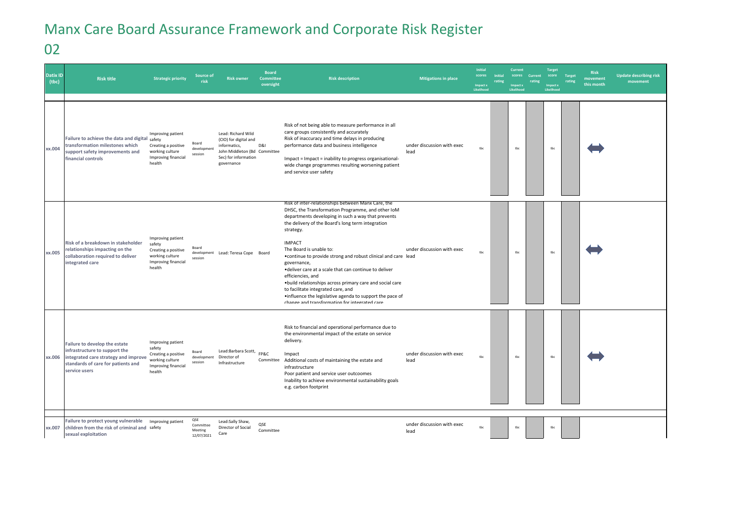## Manx Care Board Assurance Framework and Corporate Risk Register

02

| <b>Datix ID</b><br>(tbc) | <b>Risk title</b>                                                                                                                                             | <b>Strategic priority</b>                                                                              | Source of<br>risk                         | <b>Risk owner</b>                                                                                                                 | <b>Board</b><br>Committee<br>oversight | <b>Risk description</b>                                                                                                                                                                                                                                                                                                                                                                                                                                                                                                                                                                                                                                   | <b>Mitigations in place</b>        | <b>Initial</b><br>scores<br>Impact x<br>Likelihood | Initial<br>rating | <b>Current</b><br>scores<br><b>Impact x</b><br>Likelihood | Current<br>rating | <b>Target</b><br>score<br>Impact x<br>Likelihood | <b>Target</b><br>rating | Risk<br>movement<br>this month | <b>Update describing risk</b><br>movement |
|--------------------------|---------------------------------------------------------------------------------------------------------------------------------------------------------------|--------------------------------------------------------------------------------------------------------|-------------------------------------------|-----------------------------------------------------------------------------------------------------------------------------------|----------------------------------------|-----------------------------------------------------------------------------------------------------------------------------------------------------------------------------------------------------------------------------------------------------------------------------------------------------------------------------------------------------------------------------------------------------------------------------------------------------------------------------------------------------------------------------------------------------------------------------------------------------------------------------------------------------------|------------------------------------|----------------------------------------------------|-------------------|-----------------------------------------------------------|-------------------|--------------------------------------------------|-------------------------|--------------------------------|-------------------------------------------|
| xx.004                   | Failure to achieve the data and digital safety<br>transformation milestones which<br>support safety improvements and<br>financial controls                    | Improving patient<br>Creating a positive<br>working culture<br>Improving financial<br>health           | Board<br>development<br>session           | Lead: Richard Wild<br>(CIO) for digital and<br>informatics,<br>John Middleton (Bd Committee<br>Sec) for information<br>governance | D&I                                    | Risk of not being able to measure performance in all<br>care groups consistently and accurately<br>Risk of inaccuracy and time delays in producing<br>performance data and business intelligence<br>Impact = Impact = inability to progress organisational-<br>wide change programmes resulting worsening patient<br>and service user safety                                                                                                                                                                                                                                                                                                              | under discussion with exec<br>lead | tbc                                                |                   | tbc                                                       |                   | $_{\rm tbc}$                                     |                         |                                |                                           |
| xx.005                   | Risk of a breakdown in stakeholder<br>relationships impacting on the<br>collaboration required to deliver<br>integrated care                                  | Improving patient<br>safety<br>Creating a positive<br>working culture<br>Improving financial<br>health | Board<br>session                          | development Lead: Teresa Cope Board                                                                                               |                                        | Risk of inter-relationships between Manx Care, the<br>DHSC, the Transformation Programme, and other IoM<br>departments developing in such a way that prevents<br>the delivery of the Board's long term integration<br>strategy.<br><b>IMPACT</b><br>The Board is unable to:<br>• continue to provide strong and robust clinical and care lead<br>governance,<br>.deliver care at a scale that can continue to deliver<br>efficiencies, and<br>.build relationships across primary care and social care<br>to facilitate integrated care, and<br>•influence the legislative agenda to support the pace of<br>change and transformation for integrated care | under discussion with exec         | tbc                                                |                   | tbc                                                       |                   | tbc                                              |                         |                                |                                           |
| xx.006                   | Failure to develop the estate<br>infrastructure to support the<br>integrated care strategy and improve<br>standards of care for patients and<br>service users | Improving patient<br>safety<br>Creating a positive<br>working culture<br>Improving financial<br>health | Board<br>development<br>session           | Lead:Barbara Scott,<br>Director of<br>Infrastructure                                                                              | FP&C<br>Committee                      | Risk to financial and operational performance due to<br>the environmental impact of the estate on service<br>delivery.<br>Impact<br>Additional costs of maintaining the estate and<br>infrastructure<br>Poor patient and service user outcoomes<br>Inability to achieve environmental sustainability goals<br>e.g. carbon footprint                                                                                                                                                                                                                                                                                                                       | under discussion with exec<br>lead | tbc                                                |                   | tbc                                                       |                   | $_{\rm tbc}$                                     |                         |                                |                                           |
| xx.007                   | Failure to protect young vulnerable<br>children from the risk of criminal and safety<br>sexual exploitation                                                   | Improving patient                                                                                      | QSE<br>Committee<br>Meeting<br>12/07/2021 | Lead:Sally Shaw,<br>Director of Social<br>Care                                                                                    | QSE<br>Committee                       |                                                                                                                                                                                                                                                                                                                                                                                                                                                                                                                                                                                                                                                           | under discussion with exec<br>lead | tbc                                                |                   | tbc                                                       |                   | tbc                                              |                         |                                |                                           |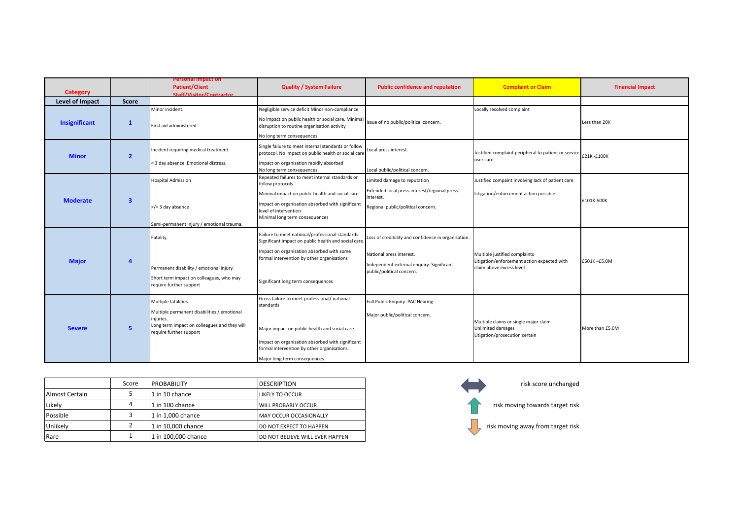| Category             |                         | Personal Impact on<br><b>Patient/Client</b><br>Staff/Visitor/Contractor                                                                                     | <b>Quality / System Failure</b>                                                                                                                                                                                                                | <b>Public confidence and reputation</b>                                                                                                                   | <b>Complaint or Claim</b>                                                                                | <b>Financial Impact</b> |
|----------------------|-------------------------|-------------------------------------------------------------------------------------------------------------------------------------------------------------|------------------------------------------------------------------------------------------------------------------------------------------------------------------------------------------------------------------------------------------------|-----------------------------------------------------------------------------------------------------------------------------------------------------------|----------------------------------------------------------------------------------------------------------|-------------------------|
| Level of Impact      | <b>Score</b>            |                                                                                                                                                             |                                                                                                                                                                                                                                                |                                                                                                                                                           |                                                                                                          |                         |
| <b>Insignificant</b> | $\mathbf{1}$            | Minor incident.<br>First aid administered.                                                                                                                  | Negligible service deficit Minor non-compliance<br>No impact on public health or social care. Minimal<br>disruption to routine organisation activity<br>No long term consequences                                                              | Issue of no public/political concern.                                                                                                                     | Locally resolved complaint                                                                               | Less than 20K           |
| <b>Minor</b>         | $\overline{2}$          | Incident requiring medical treatment.<br>< 3 day absence. Emotional distress.                                                                               | Single failure to meet internal standards or follow<br>protocol. No impact on public health or social care<br>Impact on organisation rapidly absorbed<br>No long term consequences                                                             | Local press interest.<br>Local public/political concern.                                                                                                  | Justified complaint peripheral to patient or service E21K - £100K<br>user care                           |                         |
| <b>Moderate</b>      | $\overline{\mathbf{3}}$ | <b>Hospital Admission</b><br>$>$ /= 3 day absence<br>Semi-permanent injury / emotional trauma.                                                              | Repeated failures to meet internal standards or<br>follow protocols<br>Minimal impact on public health and social care<br>Impact on organisation absorbed with significant<br>level of intervention<br>Minimal long term consequences          | Limited damage to reputation<br>Extended local press interest/regional press<br>interest.<br>Regional public/political concern.                           | Justified compaint involving lack of patient care<br>Litigation/enforcement action possible              | £101K-500K              |
| <b>Major</b>         | $\overline{a}$          | Fatality.<br>Permanent disability / emotional injury<br>Short term impact on colleagues, who may<br>require further support                                 | Failure to meet national/professional standards.<br>Significant impact on public health and social care<br>Impact on organisation absorbed with some<br>formal intervention by other organisations<br>Significant long term consequences       | Loss of credibility and confidence in organisation.<br>National press interest.<br>Independent external enquiry. Significant<br>public/political concern. | Multiple justified complaints<br>Litigation/enforcement action expected with<br>claim above excess level | £501K-£5.0M             |
| <b>Severe</b>        | 5                       | Multiple fatalities.<br>Multiple permanent disabilities / emotional<br>injuries.<br>Long term impact on colleagues and they will<br>require further support | Gross failure to meet professional/ national<br>standards<br>Major impact on public health and social care<br>Impact on organisation absorbed with significant<br>formal intervention by other organisations.<br>Major long term consequences. | Full Public Enquiry. PAC Hearing<br>Major public/political concern.                                                                                       | Multiple claims or single major claim<br>Unlimited damages<br>Litigation/prosecution certain             | More than £5.0M         |

|                | Score | <b>PROBABILITY</b>  | <b>DESCRIPTION</b>              |
|----------------|-------|---------------------|---------------------------------|
| Almost Certain |       | 1 in 10 chance      | <b>LIKELY TO OCCUR</b>          |
| Likely         | 4     | 1 in 100 chance     | <b>WILL PROBABLY OCCUR</b>      |
| Possible       | 3     | 1 in 1.000 chance   | MAY OCCUR OCCASIONALLY          |
| Unlikelv       | 2     | 1 in 10,000 chance  | DO NOT EXPECT TO HAPPEN         |
| Rare           |       | 1 in 100,000 chance | DO NOT BELIEVE WILL EVER HAPPEN |

![](_page_4_Figure_2.jpeg)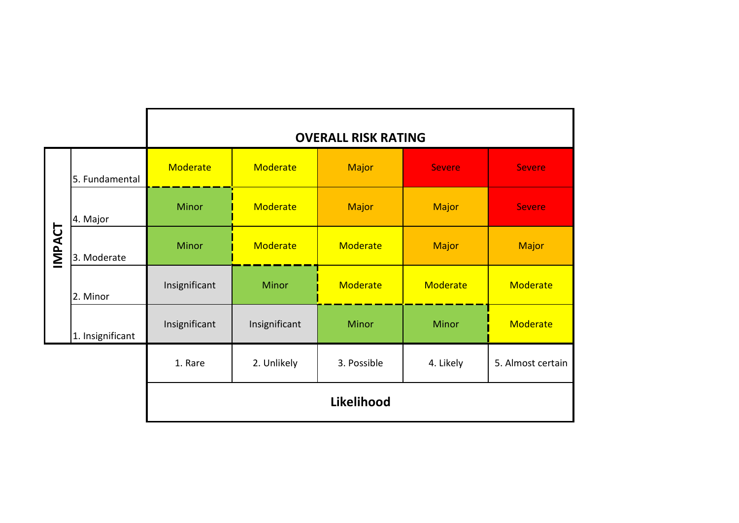|               |                  |               |               | <b>OVERALL RISK RATING</b> |               |                   |  |  |  |  |
|---------------|------------------|---------------|---------------|----------------------------|---------------|-------------------|--|--|--|--|
|               | 5. Fundamental   | Moderate      | Moderate      | <b>Major</b>               | <b>Severe</b> | <b>Severe</b>     |  |  |  |  |
| 4. Major      |                  | <b>Minor</b>  | Moderate      | <b>Major</b>               | <b>Major</b>  | <b>Severe</b>     |  |  |  |  |
| <b>IMPACT</b> | 3. Moderate      | <b>Minor</b>  | Moderate      | Moderate                   | <b>Major</b>  | Major             |  |  |  |  |
|               | 2. Minor         | Insignificant | Minor         | Moderate                   | Moderate      | Moderate          |  |  |  |  |
|               | 1. Insignificant | Insignificant | Insignificant | <b>Minor</b>               | <b>Minor</b>  | Moderate          |  |  |  |  |
|               |                  | 1. Rare       | 2. Unlikely   | 3. Possible                | 4. Likely     | 5. Almost certain |  |  |  |  |
| Likelihood    |                  |               |               |                            |               |                   |  |  |  |  |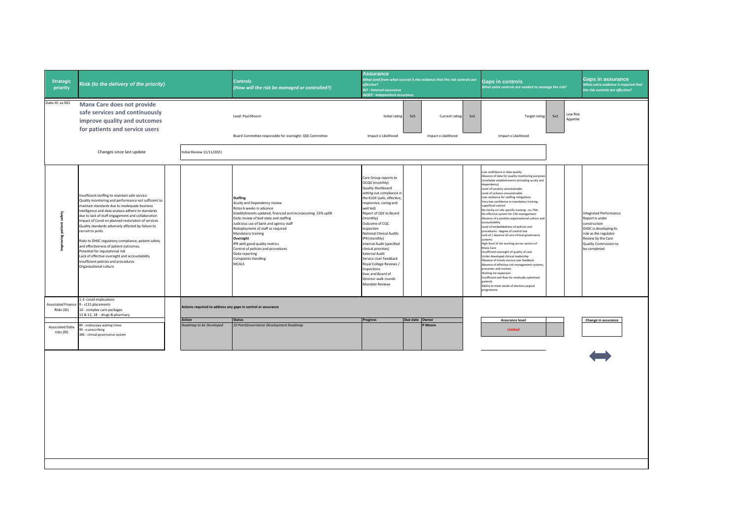| <b>Strategic</b><br>priority          | Risk (to the delivery of the priority)                                                                                                                                                                                                                                                                                                                                                                                                                                                                                                                                                                                                                     |                                                              | <b>Controls</b><br>(How will the risk be managed or controlled?)                                                                                                                                                                                                                                                                                                                                                                                 | <b>Assurance</b><br>What (and from what source) is the evidence that the risk controls are<br>effective?<br><b>INT - Internal assurance</b><br><b>INDEP - Independent assurance</b>                                                                                                                                                                                                                                                                                                                      |                | <b>Gaps in controls</b><br>What extra controls are needed to manage the risk? |     | Gaps in assurance<br>What extra evidence is required that<br>the risk controls are effective?                                                                                                                                                                                                                                                                                                                                                                                                                                                                                                                                                                                                                                                                                                                                                                                                                                                                                                                                                                              |     |                      |                                                                                                                                                                                    |
|---------------------------------------|------------------------------------------------------------------------------------------------------------------------------------------------------------------------------------------------------------------------------------------------------------------------------------------------------------------------------------------------------------------------------------------------------------------------------------------------------------------------------------------------------------------------------------------------------------------------------------------------------------------------------------------------------------|--------------------------------------------------------------|--------------------------------------------------------------------------------------------------------------------------------------------------------------------------------------------------------------------------------------------------------------------------------------------------------------------------------------------------------------------------------------------------------------------------------------------------|----------------------------------------------------------------------------------------------------------------------------------------------------------------------------------------------------------------------------------------------------------------------------------------------------------------------------------------------------------------------------------------------------------------------------------------------------------------------------------------------------------|----------------|-------------------------------------------------------------------------------|-----|----------------------------------------------------------------------------------------------------------------------------------------------------------------------------------------------------------------------------------------------------------------------------------------------------------------------------------------------------------------------------------------------------------------------------------------------------------------------------------------------------------------------------------------------------------------------------------------------------------------------------------------------------------------------------------------------------------------------------------------------------------------------------------------------------------------------------------------------------------------------------------------------------------------------------------------------------------------------------------------------------------------------------------------------------------------------------|-----|----------------------|------------------------------------------------------------------------------------------------------------------------------------------------------------------------------------|
| Datix ID: xx.001                      | Manx Care does not provide<br>safe services and continuously<br>improve quality and outcomes<br>for patients and service users                                                                                                                                                                                                                                                                                                                                                                                                                                                                                                                             |                                                              | Lead: Paul Moore                                                                                                                                                                                                                                                                                                                                                                                                                                 | Initial rating                                                                                                                                                                                                                                                                                                                                                                                                                                                                                           | 5x5            | Current rating                                                                | 5x5 | <b>Target rating</b>                                                                                                                                                                                                                                                                                                                                                                                                                                                                                                                                                                                                                                                                                                                                                                                                                                                                                                                                                                                                                                                       | 5x2 | Low Risk<br>Appetite |                                                                                                                                                                                    |
|                                       | Changes since last update                                                                                                                                                                                                                                                                                                                                                                                                                                                                                                                                                                                                                                  | nitial Review 11/11/2021                                     | Board Committee responsible for oversight: QSE Committee                                                                                                                                                                                                                                                                                                                                                                                         | Impact x Likelihood                                                                                                                                                                                                                                                                                                                                                                                                                                                                                      |                | Impact x Likelihood                                                           |     | Impact x Likelihood                                                                                                                                                                                                                                                                                                                                                                                                                                                                                                                                                                                                                                                                                                                                                                                                                                                                                                                                                                                                                                                        |     |                      |                                                                                                                                                                                    |
|                                       |                                                                                                                                                                                                                                                                                                                                                                                                                                                                                                                                                                                                                                                            |                                                              |                                                                                                                                                                                                                                                                                                                                                                                                                                                  |                                                                                                                                                                                                                                                                                                                                                                                                                                                                                                          |                |                                                                               |     |                                                                                                                                                                                                                                                                                                                                                                                                                                                                                                                                                                                                                                                                                                                                                                                                                                                                                                                                                                                                                                                                            |     |                      |                                                                                                                                                                                    |
| Improving patient safety              | Insufficient staffing to maintain safe service<br>Quality monitoring and performance not sufficient to<br>maintain standards due to inadequate business<br>intelligence and data analysis adhere to standards<br>due to lack of staff engagement and collaboration<br>Impact of Covid on planned restoration of services<br>Quality standards adversely affected by failure to<br>recruit to posts<br>Risks to DHSC regulatory compliance, patient safety<br>and effectiveness of patient outcomes,<br>Potential for reputational risk<br>Lack of effective oversight and accountability<br>Insufficient policies and procedures<br>Organisational culture |                                                              | <b>Staffing</b><br>Acuity and Dependency review<br>Rotas 6 weeks in advance<br>Establishments updated, financed and incorporating 23% uplift<br>Daily review of bed state and staffing<br>Judicious use of bank and agency staff<br>Redeployment of staff as required<br>Mandatory training<br>Oversight<br>IPR with good quality metrics<br>Control of policies and procedures<br>Datix reporting<br><b>Complaints Handling</b><br><b>MCALS</b> | Care Group reports to<br>OCQG (monthly)<br>Quality Dashboard<br>setting out compliance in<br>the KLOE (safe, effective,<br>responsive, caring and<br>well led)<br>Report of QSE to Board<br>(monthly)<br>Outcome of CQC<br>inspection<br><b>National Clinical Audits</b><br>IPR (monthly)<br>Internal Audit (specified<br>clinical priorities)<br><b>External Audit</b><br>Service User Feedback<br>Royal College Reviews<br>Inspections<br>Exec and Board of<br>Director walk rounds<br>Mandate Reviews |                |                                                                               |     | Low confidence in data quality<br>Absence of data for quality monitoring purpose<br>Unreliable establishments (including acuity and<br>dependency)<br>Level of vacancy unsustainable<br>Level of sickness unsustainable<br>Low resilience for staffing mitigations<br>Very low confidence in mandatory training<br>superficial control<br>No clarity on role specific training - no TNA<br>No effective system for CAS management<br>Absence of a positive organisational culture and<br>accountability<br>Level of embeddedness of policies and<br>procedures - degree of control low<br>Lack of / absence of core clinical governance<br>systems<br>High level of silo working across sectors of<br>Manx Care<br>Insufficient oversight of quality of care<br>Under developed clinical leadership<br>Absence of timely service user feedback<br>Absence of effective risk management systems<br>processes and reviews<br>Waiting list expansion<br>Insufficient exit flow for medically optimised<br>patients<br>Ability to meet needs of elective surgical<br>programme |     |                      | <b>Integrated Performance</b><br>Report is under<br>construction<br>DHSC is developing its<br>role as the regulator<br>Review by the Care<br>Quality Commission to<br>be completed |
| Associated Finance<br>Risks (ID)      | 1-3 -covid implications<br>9 - s115 placements<br>10 - complex care packages                                                                                                                                                                                                                                                                                                                                                                                                                                                                                                                                                                               | Actions required to address any gaps in control or assurance |                                                                                                                                                                                                                                                                                                                                                                                                                                                  |                                                                                                                                                                                                                                                                                                                                                                                                                                                                                                          |                |                                                                               |     |                                                                                                                                                                                                                                                                                                                                                                                                                                                                                                                                                                                                                                                                                                                                                                                                                                                                                                                                                                                                                                                                            |     |                      |                                                                                                                                                                                    |
|                                       | 11 & 12, 18 - drugs & pharmacy                                                                                                                                                                                                                                                                                                                                                                                                                                                                                                                                                                                                                             | Action                                                       | <b>Status</b>                                                                                                                                                                                                                                                                                                                                                                                                                                    | Progress                                                                                                                                                                                                                                                                                                                                                                                                                                                                                                 | Due date Owner |                                                                               |     | <b>Assurance level</b>                                                                                                                                                                                                                                                                                                                                                                                                                                                                                                                                                                                                                                                                                                                                                                                                                                                                                                                                                                                                                                                     |     |                      | Change in assurance                                                                                                                                                                |
| <b>Associated Datix</b><br>risks (ID) | 89 - endoscopy waiting times<br>99 - e-prescribing<br>386 - clinical governance system                                                                                                                                                                                                                                                                                                                                                                                                                                                                                                                                                                     | Roadmap to be Developed                                      | 10 PointGovernance Development Roadmap                                                                                                                                                                                                                                                                                                                                                                                                           |                                                                                                                                                                                                                                                                                                                                                                                                                                                                                                          |                | P Moore                                                                       |     | Limited                                                                                                                                                                                                                                                                                                                                                                                                                                                                                                                                                                                                                                                                                                                                                                                                                                                                                                                                                                                                                                                                    |     |                      |                                                                                                                                                                                    |
|                                       |                                                                                                                                                                                                                                                                                                                                                                                                                                                                                                                                                                                                                                                            |                                                              |                                                                                                                                                                                                                                                                                                                                                                                                                                                  |                                                                                                                                                                                                                                                                                                                                                                                                                                                                                                          |                |                                                                               |     |                                                                                                                                                                                                                                                                                                                                                                                                                                                                                                                                                                                                                                                                                                                                                                                                                                                                                                                                                                                                                                                                            |     |                      |                                                                                                                                                                                    |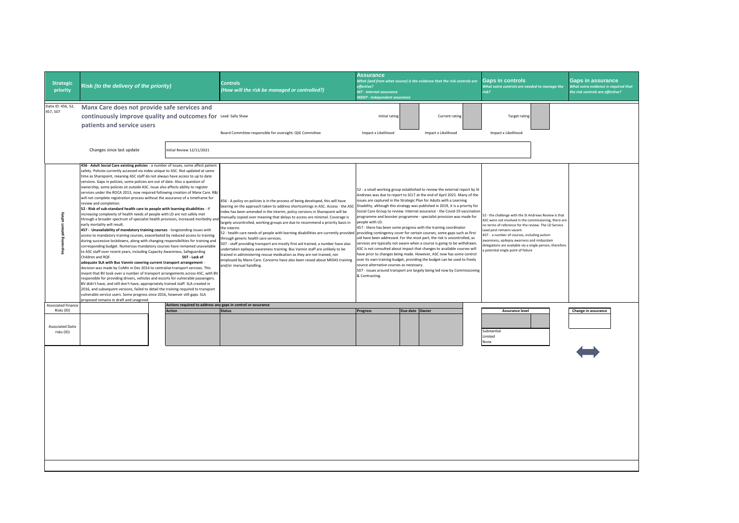|                                       |                                                                                                                                                                                                                                                                                                                                                                                                                                                                                                                                                                                                                                                                                                                                                                                                                                                                                                                                                                                                                                                                                                                                                                                                                                                                                                                                                                                                                                                                                                                                                                                                                                                                                                                                                                                                                                                                                                                                                                                                        |                          |                                                                                                                                                                                                                                                                                                                                                                                                                                                                                                                                                                                                                                                                                                                                                                                                                                                                                                                     | <b>Assurance</b>                                                                     |                                                                                                                                                                                                                                                                                                                                                                                                                                                                                                                                                                                                                                                                                                                                                                                                                                                                                                                                                                                                                                                                                         |                |                                                                                                                                                                                                                                                                                                                                                                                                 |                                                                                                      |
|---------------------------------------|--------------------------------------------------------------------------------------------------------------------------------------------------------------------------------------------------------------------------------------------------------------------------------------------------------------------------------------------------------------------------------------------------------------------------------------------------------------------------------------------------------------------------------------------------------------------------------------------------------------------------------------------------------------------------------------------------------------------------------------------------------------------------------------------------------------------------------------------------------------------------------------------------------------------------------------------------------------------------------------------------------------------------------------------------------------------------------------------------------------------------------------------------------------------------------------------------------------------------------------------------------------------------------------------------------------------------------------------------------------------------------------------------------------------------------------------------------------------------------------------------------------------------------------------------------------------------------------------------------------------------------------------------------------------------------------------------------------------------------------------------------------------------------------------------------------------------------------------------------------------------------------------------------------------------------------------------------------------------------------------------------|--------------------------|---------------------------------------------------------------------------------------------------------------------------------------------------------------------------------------------------------------------------------------------------------------------------------------------------------------------------------------------------------------------------------------------------------------------------------------------------------------------------------------------------------------------------------------------------------------------------------------------------------------------------------------------------------------------------------------------------------------------------------------------------------------------------------------------------------------------------------------------------------------------------------------------------------------------|--------------------------------------------------------------------------------------|-----------------------------------------------------------------------------------------------------------------------------------------------------------------------------------------------------------------------------------------------------------------------------------------------------------------------------------------------------------------------------------------------------------------------------------------------------------------------------------------------------------------------------------------------------------------------------------------------------------------------------------------------------------------------------------------------------------------------------------------------------------------------------------------------------------------------------------------------------------------------------------------------------------------------------------------------------------------------------------------------------------------------------------------------------------------------------------------|----------------|-------------------------------------------------------------------------------------------------------------------------------------------------------------------------------------------------------------------------------------------------------------------------------------------------------------------------------------------------------------------------------------------------|------------------------------------------------------------------------------------------------------|
| <b>Strategic</b><br>priority          | Risk (to the delivery of the priority)                                                                                                                                                                                                                                                                                                                                                                                                                                                                                                                                                                                                                                                                                                                                                                                                                                                                                                                                                                                                                                                                                                                                                                                                                                                                                                                                                                                                                                                                                                                                                                                                                                                                                                                                                                                                                                                                                                                                                                 |                          | <b>Controls</b><br>(How will the risk be managed or controlled?)                                                                                                                                                                                                                                                                                                                                                                                                                                                                                                                                                                                                                                                                                                                                                                                                                                                    | effective?<br><b>INT - Internal assurance</b><br><b>NDEP - Independent assurance</b> | What (and from what source) is the evidence that the risk controls are                                                                                                                                                                                                                                                                                                                                                                                                                                                                                                                                                                                                                                                                                                                                                                                                                                                                                                                                                                                                                  |                | <b>Gaps in controls</b><br>What extra controls are needed to manage the<br>risk?                                                                                                                                                                                                                                                                                                                | <b>Gaps in assurance</b><br>What extra evidence is required that<br>the risk controls are effective? |
| Datix ID: 456, 52,                    | Manx Care does not provide safe services and                                                                                                                                                                                                                                                                                                                                                                                                                                                                                                                                                                                                                                                                                                                                                                                                                                                                                                                                                                                                                                                                                                                                                                                                                                                                                                                                                                                                                                                                                                                                                                                                                                                                                                                                                                                                                                                                                                                                                           |                          |                                                                                                                                                                                                                                                                                                                                                                                                                                                                                                                                                                                                                                                                                                                                                                                                                                                                                                                     |                                                                                      |                                                                                                                                                                                                                                                                                                                                                                                                                                                                                                                                                                                                                                                                                                                                                                                                                                                                                                                                                                                                                                                                                         |                |                                                                                                                                                                                                                                                                                                                                                                                                 |                                                                                                      |
| 457, 507                              | continuously improve quality and outcomes for Lead: Sally Shaw                                                                                                                                                                                                                                                                                                                                                                                                                                                                                                                                                                                                                                                                                                                                                                                                                                                                                                                                                                                                                                                                                                                                                                                                                                                                                                                                                                                                                                                                                                                                                                                                                                                                                                                                                                                                                                                                                                                                         |                          |                                                                                                                                                                                                                                                                                                                                                                                                                                                                                                                                                                                                                                                                                                                                                                                                                                                                                                                     | Initial rating                                                                       |                                                                                                                                                                                                                                                                                                                                                                                                                                                                                                                                                                                                                                                                                                                                                                                                                                                                                                                                                                                                                                                                                         | Current rating | <b>Target rating</b>                                                                                                                                                                                                                                                                                                                                                                            |                                                                                                      |
|                                       | patients and service users                                                                                                                                                                                                                                                                                                                                                                                                                                                                                                                                                                                                                                                                                                                                                                                                                                                                                                                                                                                                                                                                                                                                                                                                                                                                                                                                                                                                                                                                                                                                                                                                                                                                                                                                                                                                                                                                                                                                                                             |                          |                                                                                                                                                                                                                                                                                                                                                                                                                                                                                                                                                                                                                                                                                                                                                                                                                                                                                                                     |                                                                                      |                                                                                                                                                                                                                                                                                                                                                                                                                                                                                                                                                                                                                                                                                                                                                                                                                                                                                                                                                                                                                                                                                         |                |                                                                                                                                                                                                                                                                                                                                                                                                 |                                                                                                      |
|                                       |                                                                                                                                                                                                                                                                                                                                                                                                                                                                                                                                                                                                                                                                                                                                                                                                                                                                                                                                                                                                                                                                                                                                                                                                                                                                                                                                                                                                                                                                                                                                                                                                                                                                                                                                                                                                                                                                                                                                                                                                        |                          | Board Committee responsible for oversight: QSE Committee                                                                                                                                                                                                                                                                                                                                                                                                                                                                                                                                                                                                                                                                                                                                                                                                                                                            | Impact x Likelihood                                                                  | Impact x Likelihood                                                                                                                                                                                                                                                                                                                                                                                                                                                                                                                                                                                                                                                                                                                                                                                                                                                                                                                                                                                                                                                                     |                | Impact x Likelihood                                                                                                                                                                                                                                                                                                                                                                             |                                                                                                      |
|                                       | Changes since last update                                                                                                                                                                                                                                                                                                                                                                                                                                                                                                                                                                                                                                                                                                                                                                                                                                                                                                                                                                                                                                                                                                                                                                                                                                                                                                                                                                                                                                                                                                                                                                                                                                                                                                                                                                                                                                                                                                                                                                              | nitial Review 12/11/2021 |                                                                                                                                                                                                                                                                                                                                                                                                                                                                                                                                                                                                                                                                                                                                                                                                                                                                                                                     |                                                                                      |                                                                                                                                                                                                                                                                                                                                                                                                                                                                                                                                                                                                                                                                                                                                                                                                                                                                                                                                                                                                                                                                                         |                |                                                                                                                                                                                                                                                                                                                                                                                                 |                                                                                                      |
| Improving patient safety              | 456 - Adult Social Care existing policies - a number of issues, some affect patient<br>safety. Policies currently accessed via index unique to ASC. Not updated at same<br>time as Sharepoint, meaning ASC staff do not always have access to up to date<br>versions. Gaps in policies, some policies are out of date. Also a question of<br>ownership, some policies sit outside ASC. Issue also affects ability to register<br>services under the ROCA 2013, now required following creation of Manx Care. R&I<br>will not complete registration process without the assurance of a timeframe for<br>review and completion.<br>52 - Risk of sub-standard health care to people with learning disabilities - if<br>increasing complexity of health needs of people with LD are not safely met<br>through a broader spectrum of specialist health provision, increased morbidity and<br>early mortality will result.<br>457 - Unavailability of mandatory training courses - longstanding issues with<br>access to mandatory training courses, exacerbated by reduced access to training<br>during successive lockdowns, along with changing responsibilities for training and<br>corresponding budget. Numerous mandatory courses have remained unavailable<br>to ASC staff over recent years, including Capacity Awareness, Safeguarding<br>Children and ROF.<br>adequate SLA with Bus Vannin covering current transport arrangement -<br>decision was made by CoMin in Dec 2016 to centralise transport services. This<br>meant that BV took over a number of transport arrangements across ASC, with BV<br>responsible for providing drivers, vehicles and escorts for vulnerable passengers.<br>BV didn't have, and still don't have, appropriately trained staff. SLA created in<br>2016, and subsequent versions, failed to detail the training required to transport<br>vulnerable service users. Some progress since 2016, however still gaps. SLA<br>proposed remains in draft and unagreed. | 507 - Lack of            | 456 - A policy on policies is in the process of being developed, this will have<br>bearing on the approach taken to address shortcomings in ASC. Access - the ASC<br>ndex has been amended in the interim, policy versions in Sharepoint will be<br>nanually copied over meaning that delays to access are minimal. Coverage is<br>argely uncontrolled, working groups are due to recommend a priority basis in<br>he interim.<br>52 - health care needs of people with learning disabillities are currently provided<br>hrough generic health care services.<br>507 - staff providing transport are mostly first aid trained, a number have also<br>indertaken epilepsy awareness training. Bus Vannin staff are unlikely to be<br>trained in administering rescue medication as they are not trained, nor<br>mployed by Manx Care. Concerns have also been raised about MIDAS training<br>ind/or manual handling. | people with LD.<br>source alternative courses as necessary.<br>& Contracting.        | 52 - a small working group established to review the external report by St<br>Andrews was due to report to SCLT at the end of April 2021. Many of the<br>issues are captured in the Strategic Plan for Adults with a Learning<br>Disability, although this strategy was published in 2019, it is a priority for<br>Social Care Group to review. Internal assurance - the Covid-19 vaccination<br>programme and booster programme - specialist provision was made for<br>457 - there has been some progress with the training coordinator<br>providing contingency cover for certain courses, some gaps such as first<br>aid have been addressed. For the most part, the risk is uncontrolled, as<br>services are typically not aware when a course is going to be withdrawn.<br>ASC is not consulted about impact that changes to available courses will<br>have prior to changes being made. However, ASC now has some control<br>over its own training budget, providing the budget can be used to freely<br>507 - issues around transport are largely being led now by Commissioning |                | 52 - the challenge with the St Andrews Review is that<br>ASC were not involved in the commissioning, there are<br>to terms of reference for the review. The LD Service<br>ead post remains vacant.<br>457 - a number of courses, including autism<br>wareness, epilepsy awarness and midazolam<br>delegations are available via a single person, therefore<br>potential single point of failure |                                                                                                      |
| <b>Associated Finance</b>             |                                                                                                                                                                                                                                                                                                                                                                                                                                                                                                                                                                                                                                                                                                                                                                                                                                                                                                                                                                                                                                                                                                                                                                                                                                                                                                                                                                                                                                                                                                                                                                                                                                                                                                                                                                                                                                                                                                                                                                                                        |                          | Actions required to address any gaps in control or assurance                                                                                                                                                                                                                                                                                                                                                                                                                                                                                                                                                                                                                                                                                                                                                                                                                                                        |                                                                                      |                                                                                                                                                                                                                                                                                                                                                                                                                                                                                                                                                                                                                                                                                                                                                                                                                                                                                                                                                                                                                                                                                         |                |                                                                                                                                                                                                                                                                                                                                                                                                 |                                                                                                      |
| Risks (ID)                            |                                                                                                                                                                                                                                                                                                                                                                                                                                                                                                                                                                                                                                                                                                                                                                                                                                                                                                                                                                                                                                                                                                                                                                                                                                                                                                                                                                                                                                                                                                                                                                                                                                                                                                                                                                                                                                                                                                                                                                                                        | <b>Action</b>            | <b>Status</b>                                                                                                                                                                                                                                                                                                                                                                                                                                                                                                                                                                                                                                                                                                                                                                                                                                                                                                       | Progress                                                                             | Due date Owner                                                                                                                                                                                                                                                                                                                                                                                                                                                                                                                                                                                                                                                                                                                                                                                                                                                                                                                                                                                                                                                                          |                | <b>Assurance level</b>                                                                                                                                                                                                                                                                                                                                                                          | Change in assurance                                                                                  |
| <b>Associated Datix</b><br>risks (ID) |                                                                                                                                                                                                                                                                                                                                                                                                                                                                                                                                                                                                                                                                                                                                                                                                                                                                                                                                                                                                                                                                                                                                                                                                                                                                                                                                                                                                                                                                                                                                                                                                                                                                                                                                                                                                                                                                                                                                                                                                        |                          |                                                                                                                                                                                                                                                                                                                                                                                                                                                                                                                                                                                                                                                                                                                                                                                                                                                                                                                     |                                                                                      |                                                                                                                                                                                                                                                                                                                                                                                                                                                                                                                                                                                                                                                                                                                                                                                                                                                                                                                                                                                                                                                                                         |                | Substantial<br><i>imited</i>                                                                                                                                                                                                                                                                                                                                                                    |                                                                                                      |
|                                       |                                                                                                                                                                                                                                                                                                                                                                                                                                                                                                                                                                                                                                                                                                                                                                                                                                                                                                                                                                                                                                                                                                                                                                                                                                                                                                                                                                                                                                                                                                                                                                                                                                                                                                                                                                                                                                                                                                                                                                                                        |                          |                                                                                                                                                                                                                                                                                                                                                                                                                                                                                                                                                                                                                                                                                                                                                                                                                                                                                                                     |                                                                                      |                                                                                                                                                                                                                                                                                                                                                                                                                                                                                                                                                                                                                                                                                                                                                                                                                                                                                                                                                                                                                                                                                         |                | Vone                                                                                                                                                                                                                                                                                                                                                                                            |                                                                                                      |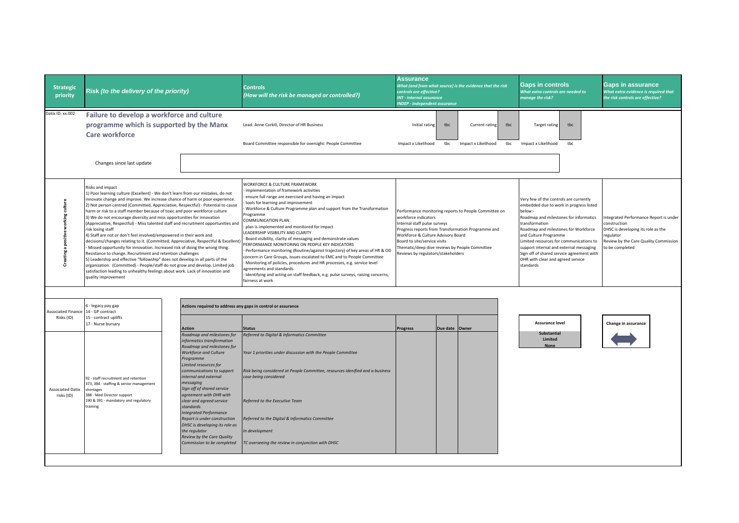| <b>Strategic</b><br>priority              | Risk (to the delivery of the priority)                                                                                                                                                                                                                                                                                                                                                                                                                                                                                                                                                                                                                                                                                                                                                                                                                                                                                                                                                                                                                                                                                              |                                                                                                                                                                                                                                                                                                                                                                                                                                                                                                                                    | <b>Controls</b><br>(How will the risk be managed or controlled?)                                                                                                                                                                                                                                                                                                                                                                                                                                                                                                                                                                                                                                                                                                                                                                                                             | <b>Assurance</b><br>controls are effective?<br><b>INT</b> - Internal assurance<br><b>INDEP - Independent assurance</b>                                           | What (and from what source) is the evidence that the risk                                                                                                     | <b>Gaps in controls</b><br>What extra controls are needed to<br>manage the risk?                                                                                                                                                                                                                                                                                                                               | <b>Gaps in assurance</b><br>What extra evidence is required that<br>the risk controls are effective?                                                                 |
|-------------------------------------------|-------------------------------------------------------------------------------------------------------------------------------------------------------------------------------------------------------------------------------------------------------------------------------------------------------------------------------------------------------------------------------------------------------------------------------------------------------------------------------------------------------------------------------------------------------------------------------------------------------------------------------------------------------------------------------------------------------------------------------------------------------------------------------------------------------------------------------------------------------------------------------------------------------------------------------------------------------------------------------------------------------------------------------------------------------------------------------------------------------------------------------------|------------------------------------------------------------------------------------------------------------------------------------------------------------------------------------------------------------------------------------------------------------------------------------------------------------------------------------------------------------------------------------------------------------------------------------------------------------------------------------------------------------------------------------|------------------------------------------------------------------------------------------------------------------------------------------------------------------------------------------------------------------------------------------------------------------------------------------------------------------------------------------------------------------------------------------------------------------------------------------------------------------------------------------------------------------------------------------------------------------------------------------------------------------------------------------------------------------------------------------------------------------------------------------------------------------------------------------------------------------------------------------------------------------------------|------------------------------------------------------------------------------------------------------------------------------------------------------------------|---------------------------------------------------------------------------------------------------------------------------------------------------------------|----------------------------------------------------------------------------------------------------------------------------------------------------------------------------------------------------------------------------------------------------------------------------------------------------------------------------------------------------------------------------------------------------------------|----------------------------------------------------------------------------------------------------------------------------------------------------------------------|
| Datix ID: xx.002                          | Failure to develop a workforce and culture<br>programme which is supported by the Manx<br>Care workforce<br>Changes since last update                                                                                                                                                                                                                                                                                                                                                                                                                                                                                                                                                                                                                                                                                                                                                                                                                                                                                                                                                                                               |                                                                                                                                                                                                                                                                                                                                                                                                                                                                                                                                    | Lead: Anne Corkill, Director of HR Business<br>Board Committee responsible for oversight: People Committee                                                                                                                                                                                                                                                                                                                                                                                                                                                                                                                                                                                                                                                                                                                                                                   | Initial rating<br>Impact x Likelihood                                                                                                                            | tbc<br>tbc<br>Current rating<br>tbc<br>Impact x Likelihood<br>tbc                                                                                             | <b>Target rating</b><br>tbc<br>Impact x Likelihood<br>tbc                                                                                                                                                                                                                                                                                                                                                      |                                                                                                                                                                      |
| working culture<br>positive<br>Creating a | <b>Risks and impact</b><br>1) Poor learning culture (Excellent) - We don't learn from our mistakes, do not<br>nnovate change and improve. We increase chance of harm or poor experience.<br>2) Not person centred (Committed, Appreciative, Respectful) - Potential to cause<br>harm or risk to a staff member because of toxic and poor workforce culture<br>3) We do not encourage diversity and miss opportunities for innovation<br>(Appreciative, Respectful) - Miss talented staff and recruitment opportunities and<br>risk losing staff<br>4) Staff are not or don't feel involved/empowered in their work and<br>decisions/changes relating to it. (Committed, Appreciative, Respectful & Excellent<br>Missed opportunity for innovation. Increased risk of doing the wrong thing.<br>Resistance to change. Recruitment and retention challenges<br>5) Leadership and effective "followship" does not develop in all parts of the<br>organization. (Committed) - People/staff do not grow and develop. Limited job<br>satisfaction leading to unhealthy feelings about work. Lack of innovation and<br>quality improvement |                                                                                                                                                                                                                                                                                                                                                                                                                                                                                                                                    | <b>WORKFORCE &amp; CULTURE FRAMEWORK</b><br>implementation of framework activities<br>ensure full range are exercised and having an impact<br>tools for learning and improvement<br>Workforce & Culture Programme plan and support from the Transformation<br>rogramme<br>COMMUNICATION PLAN<br>plan is implemented and monitored for impact<br>LEADERSHIP VISIBILITY AND CLARITY<br>Board visibility, clarity of messaging and demonstrate values<br>PERFORMANCE MONITORING ON PEOPLE KEY INDICATORS<br>Performance monitoring (Routine/against trajectory) of key areas of HR & OD<br>concern in Care Groups, issues escalated to EMC and to People Committee<br>Monitoring of policies, procedures and HR processes, e.g. service level<br>greements and standards.<br>Identifying and acting on staff feedback, e.g. pulse surveys, raising concerns,<br>airness at work | workforce indicators<br>Internal staff pulse surveys<br>Workforce & Culture Advisory Board<br>Board to site/service visits<br>Reviews by regulators/stakeholders | Performance monitoring reports to People Committee on<br>Progress reports from Transformation Programme and<br>Thematic/deep dive reviews by People Committee | Very few of the controls are currently<br>embedded due to work in progress listed<br>below:-<br>Roadmap and milestones for informatics<br>transformation<br>Roadmap and milestones for Workforce<br>and Culture Programme<br>Limited resources for communications to<br>support internal and external messaging<br>Sign off of shared service agreement with<br>OHR with clear and agreed service<br>standards | Integrated Performance Report is under<br>construction<br>DHSC is developing its role as the<br>regulator<br>Review by the Care Quality Commission<br>o be completed |
| <b>Associated Finance</b><br>Risks (ID)   | 6 - legacy pay gap<br>14 - GP contract<br>15 - contract uplifts<br>17 - Nurse bursary                                                                                                                                                                                                                                                                                                                                                                                                                                                                                                                                                                                                                                                                                                                                                                                                                                                                                                                                                                                                                                               | Actions required to address any gaps in control or assurance                                                                                                                                                                                                                                                                                                                                                                                                                                                                       |                                                                                                                                                                                                                                                                                                                                                                                                                                                                                                                                                                                                                                                                                                                                                                                                                                                                              |                                                                                                                                                                  |                                                                                                                                                               | Assurance level                                                                                                                                                                                                                                                                                                                                                                                                | Change in assurance                                                                                                                                                  |
| <b>Associated Datix</b><br>risks (ID)     | 92 - staff recruitment and retention<br>373, 384 - staffing & senior management<br>shortages<br>388 - Med Director support<br>190 & 391 - mandatory and regulatory<br>training                                                                                                                                                                                                                                                                                                                                                                                                                                                                                                                                                                                                                                                                                                                                                                                                                                                                                                                                                      | <b>Action</b><br>Roadmap and milestones for<br>informatics transformation<br>Roadmap and milestones for<br><b>Workforce and Culture</b><br>Programme<br>Limited resources for<br>communications to support<br>internal and external<br>messaging<br>Sign off of shared service<br>agreement with OHR with<br>clear and agreed service<br>standards<br><b>Integrated Performance</b><br>Report is under construction<br>DHSC is developing its role as<br>the regulator<br>Review by the Care Quality<br>Commission to be completed | <b>Status</b><br>Referred to Digital & Informatics Committee<br>Year 1 priorities under discussion with the People Committee<br>Risk being considered at People Committee, resources idenified and a business<br>case being considered<br>Referred to the Executive Team<br>Referred to the Digital & Informatics Committee<br>In development<br>TC overseeing the review in conjunction with DHSC                                                                                                                                                                                                                                                                                                                                                                                                                                                                           | <b>Progress</b>                                                                                                                                                  | Due date Owner                                                                                                                                                | <b>Substantial</b><br>Limited                                                                                                                                                                                                                                                                                                                                                                                  |                                                                                                                                                                      |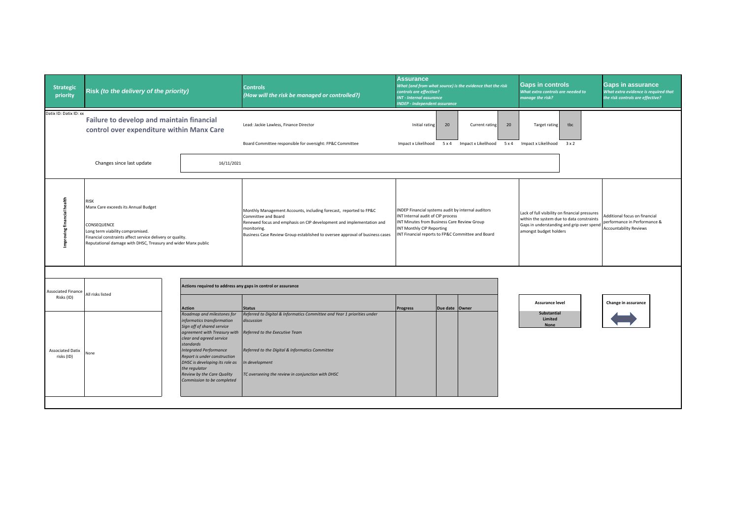| <b>Strategic</b><br>priority                                              | Risk (to the delivery of the priority)                                                                                                                                                                                       |                                                                                                                                                                                                                                                                                                                                                                                                                                  | <b>Controls</b><br>(How will the risk be managed or controlled?)                                                                                                                                                                                                   | <b>Assurance</b><br>What (and from what source) is the evidence that the risk<br>controls are effective?<br><b>INT - Internal assurance</b><br><b>NDEP - Independent assurance</b>                                              | <b>Gaps in controls</b><br>What extra controls are needed to<br>manage the risk?                                                                                   | <b>Gaps in assurance</b><br>What extra evidence is required that<br>the risk controls are effective? |
|---------------------------------------------------------------------------|------------------------------------------------------------------------------------------------------------------------------------------------------------------------------------------------------------------------------|----------------------------------------------------------------------------------------------------------------------------------------------------------------------------------------------------------------------------------------------------------------------------------------------------------------------------------------------------------------------------------------------------------------------------------|--------------------------------------------------------------------------------------------------------------------------------------------------------------------------------------------------------------------------------------------------------------------|---------------------------------------------------------------------------------------------------------------------------------------------------------------------------------------------------------------------------------|--------------------------------------------------------------------------------------------------------------------------------------------------------------------|------------------------------------------------------------------------------------------------------|
| Datix ID: Datix ID: xx                                                    | Failure to develop and maintain financial<br>control over expenditure within Manx Care                                                                                                                                       |                                                                                                                                                                                                                                                                                                                                                                                                                                  | Lead: Jackie Lawless, Finance Director<br>Board Committee responsible for oversight: FP&C Committee                                                                                                                                                                | 20<br>Initial rating<br>20<br><b>Current rating</b><br>$5 \times 4$<br>Impact x Likelihood<br>$5 \times 4$<br>Impact x Likelihood                                                                                               | Target rating<br>tbc<br>Impact x Likelihood 3 x 2                                                                                                                  |                                                                                                      |
|                                                                           | Changes since last update                                                                                                                                                                                                    | 16/11/2021                                                                                                                                                                                                                                                                                                                                                                                                                       |                                                                                                                                                                                                                                                                    |                                                                                                                                                                                                                                 |                                                                                                                                                                    |                                                                                                      |
| financial health<br>mproving                                              | RISK<br>Manx Care exceeds its Annual Budget<br>CONSEQUENCE<br>Long term viability compromised.<br>Financial constraints affect service delivery or quality.<br>Reputational damage with DHSC, Treasury and wider Manx public |                                                                                                                                                                                                                                                                                                                                                                                                                                  | Monthly Management Accounts, including forecast, reported to FP&C<br>Committee and Board<br>Renewed focus and emphasis on CIP development and implementation and<br>monitoring.<br>Business Case Review Group established to oversee approval of business cases    | INDEP Financial systems audit by internal auditors<br>INT Internal audit of CIP process<br>INT Minutes from Business Care Review Group<br><b>INT Monthly CIP Reporting</b><br>INT Financial reports to FP&C Committee and Board | Lack of full visibility on financial pressures<br>within the system due to data constraints<br>Gaps in understanding and grip over spend<br>amongst budget holders | Additional focus on financial<br>performance in Performance &<br><b>Accountability Reviews</b>       |
| Associated Finance<br>Risks (ID)<br><b>Associated Datix</b><br>risks (ID) | All risks listed<br>None                                                                                                                                                                                                     | Actions required to address any gaps in control or assurance<br><b>Action</b><br>Roadmap and milestones for<br>informatics transformation<br>Sign off of shared service<br>agreement with Treasury with<br>clear and agreed service<br>standards<br><b>Integrated Performance</b><br>Report is under construction<br>DHSC is developing its role as<br>the regulator<br>Review by the Care Quality<br>Commission to be completed | <b>Status</b><br>Referred to Digital & Informatics Committee and Year 1 priorities under<br>discussion<br>Referred to the Executive Team<br>Referred to the Digital & Informatics Committee<br>In development<br>TC overseeing the review in conjunction with DHSC | Due date Owner<br><b>Progress</b>                                                                                                                                                                                               | <b>Assurance level</b><br><b>Substantial</b><br>Limited<br><b>None</b>                                                                                             | Change in assurance                                                                                  |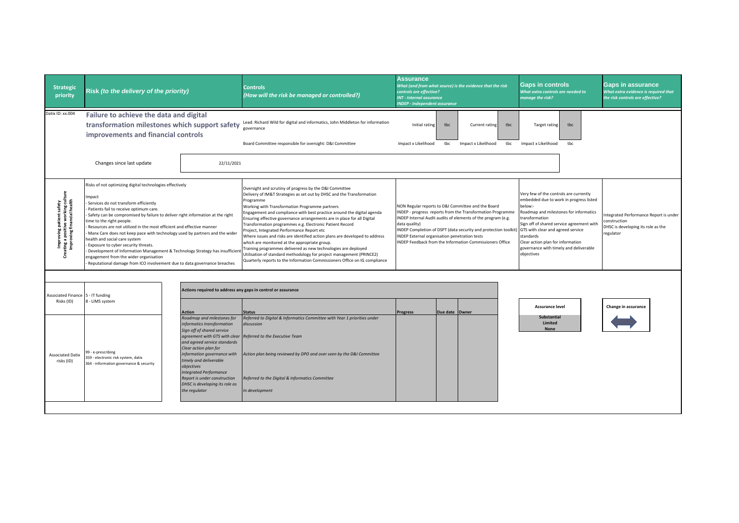| <b>Strategic</b><br>priority                                                                                      | Risk (to the delivery of the priority)                                                                                                                                                                                                                                                                                                                                                                                                                                                                                                                                                                                                                                                                    |                                                                                                                                                                                                                                                                                                                                                                             | <b>Controls</b><br>(How will the risk be managed or controlled?)                                                                                                                                                                                                                                                                                                                                                                                                                                                                                                                                                                                                                                                                                                                                                       | <b>Assurance</b><br>controls are effective?<br><b>INT - Internal assurance</b><br><b>INDEP - Independent assurance</b> |                | What (and from what source) is the evidence that the risk                                                                                                                                                                                                                                                      | <b>Gaps in controls</b><br>What extra controls are needed to<br>manage the risk?                                                                                         |                                                                                                                                                                          | <b>Gaps in assurance</b><br>What extra evidence is required that<br>the risk controls are effective?     |
|-------------------------------------------------------------------------------------------------------------------|-----------------------------------------------------------------------------------------------------------------------------------------------------------------------------------------------------------------------------------------------------------------------------------------------------------------------------------------------------------------------------------------------------------------------------------------------------------------------------------------------------------------------------------------------------------------------------------------------------------------------------------------------------------------------------------------------------------|-----------------------------------------------------------------------------------------------------------------------------------------------------------------------------------------------------------------------------------------------------------------------------------------------------------------------------------------------------------------------------|------------------------------------------------------------------------------------------------------------------------------------------------------------------------------------------------------------------------------------------------------------------------------------------------------------------------------------------------------------------------------------------------------------------------------------------------------------------------------------------------------------------------------------------------------------------------------------------------------------------------------------------------------------------------------------------------------------------------------------------------------------------------------------------------------------------------|------------------------------------------------------------------------------------------------------------------------|----------------|----------------------------------------------------------------------------------------------------------------------------------------------------------------------------------------------------------------------------------------------------------------------------------------------------------------|--------------------------------------------------------------------------------------------------------------------------------------------------------------------------|--------------------------------------------------------------------------------------------------------------------------------------------------------------------------|----------------------------------------------------------------------------------------------------------|
| Datix ID: xx.004                                                                                                  | Failure to achieve the data and digital<br>transformation milestones which support safety<br>improvements and financial controls                                                                                                                                                                                                                                                                                                                                                                                                                                                                                                                                                                          |                                                                                                                                                                                                                                                                                                                                                                             | Lead: Richard Wild for digital and informatics, John Middleton for information<br>governance<br>Board Committee responsible for oversight: D&I Committee                                                                                                                                                                                                                                                                                                                                                                                                                                                                                                                                                                                                                                                               | Initial rating<br>Impact x Likelihood                                                                                  | tbc<br>tbc     | Current rating<br>tbc<br>Impact x Likelihood<br>tbc                                                                                                                                                                                                                                                            | <b>Target rating</b><br>Impact x Likelihood                                                                                                                              | tbc<br>tbc                                                                                                                                                               |                                                                                                          |
|                                                                                                                   | Changes since last update                                                                                                                                                                                                                                                                                                                                                                                                                                                                                                                                                                                                                                                                                 | 22/11/2021                                                                                                                                                                                                                                                                                                                                                                  |                                                                                                                                                                                                                                                                                                                                                                                                                                                                                                                                                                                                                                                                                                                                                                                                                        |                                                                                                                        |                |                                                                                                                                                                                                                                                                                                                |                                                                                                                                                                          |                                                                                                                                                                          |                                                                                                          |
| proving patient safety<br>g a positive working culture<br>proving financial health<br>Impi<br>Creating a<br>Impro | Risks of not optimizing digital technologies effectively<br>Impact<br>Services do not transform efficiently<br>Patients fail to receive optimum care.<br>Safety can be compromised by failure to deliver right information at the right<br>time to the right people.<br>Resources are not utilized in the most efficient and effective manner<br>Manx Care does not keep pace with technology used by partners and the wider<br>health and social care system<br>Exposure to cyber security threats.<br>Development of Information Management & Technology Strategy has insufficien<br>engagement from the wider organisation<br>Reputational damage from ICO involvement due to data governance breaches |                                                                                                                                                                                                                                                                                                                                                                             | Oversight and scrutiny of progress by the D&I Committee<br>Delivery of IM&T Strategies as set out by DHSC and the Transformation<br>Programme<br>Working with Transformation Programme partners<br>Engagement and compliance with best practice around the digital agenda<br>Ensuring effective governance arrangements are in place for all Digital<br>Transformation programmes e.g. Electronic Patient Record<br>Project, Integrated Performance Report etc<br>Where issues and risks are identified action plans are developed to address<br>which are monitored at the appropriate group.<br>Training programmes delivered as new technologies are deployed<br>Utilisation of standard methodology for project management (PRINCE2)<br>Quarterly reports to the Information Commissioners Office on IG compliance | data quality)<br><b>INDEP External organisation penetration tests</b>                                                  |                | NON Regular reports to D&I Committee and the Board<br>INDEP - progress reports from the Transformation Programme<br>INDEP Internal Audit audits of elements of the program (e.g.<br>INDEP Completion of DSPT (data security and protection toolkit<br>INDEP Feedback from the Information Commissioners Office | Very few of the controls are currently<br>below:-<br>transformation<br>GTS with clear and agreed service<br>standards<br>Clear action plan for information<br>objectives | embedded due to work in progress listed<br>Roadmap and milestones for informatics<br>Sign off of shared service agreement with<br>governance with timely and deliverable | ntegrated Performance Report is under<br>construction<br>DHSC is developing its role as the<br>regulator |
| Associated Finance 5 - IT funding                                                                                 |                                                                                                                                                                                                                                                                                                                                                                                                                                                                                                                                                                                                                                                                                                           | Actions required to address any gaps in control or assurance                                                                                                                                                                                                                                                                                                                |                                                                                                                                                                                                                                                                                                                                                                                                                                                                                                                                                                                                                                                                                                                                                                                                                        |                                                                                                                        |                |                                                                                                                                                                                                                                                                                                                |                                                                                                                                                                          |                                                                                                                                                                          |                                                                                                          |
| Risks (ID)                                                                                                        | 8 - LIMS system                                                                                                                                                                                                                                                                                                                                                                                                                                                                                                                                                                                                                                                                                           | Action                                                                                                                                                                                                                                                                                                                                                                      | Status                                                                                                                                                                                                                                                                                                                                                                                                                                                                                                                                                                                                                                                                                                                                                                                                                 | <b>Progress</b>                                                                                                        | Due date Owner |                                                                                                                                                                                                                                                                                                                | <b>Assurance level</b>                                                                                                                                                   |                                                                                                                                                                          | Change in assurance                                                                                      |
| <b>Associated Datix</b><br>risks (ID)                                                                             | 99 - e-prescribing<br>359 - electronic risk system, datix<br>364 - information governance & security                                                                                                                                                                                                                                                                                                                                                                                                                                                                                                                                                                                                      | Roadmap and milestones for<br>informatics transformation<br>Sign off of shared service<br>agreement with GTS with clear<br>and agreed service standards<br>Clear action plan for<br>information governance with<br>timely and deliverable<br>objectives<br><b>Integrated Performance</b><br>Report is under construction<br>DHSC is developing its role as<br>the regulator | Referred to Digital & Informatics Committee with Year 1 priorities under<br>discussion<br>Referred to the Executive Team<br>Action plan being reviewed by DPO and over seen by the D&I Committee<br>Referred to the Digital & Informatics Committee<br>In development                                                                                                                                                                                                                                                                                                                                                                                                                                                                                                                                                  |                                                                                                                        |                |                                                                                                                                                                                                                                                                                                                | <b>Substantial</b><br>Limited<br><b>None</b>                                                                                                                             |                                                                                                                                                                          |                                                                                                          |
|                                                                                                                   |                                                                                                                                                                                                                                                                                                                                                                                                                                                                                                                                                                                                                                                                                                           |                                                                                                                                                                                                                                                                                                                                                                             |                                                                                                                                                                                                                                                                                                                                                                                                                                                                                                                                                                                                                                                                                                                                                                                                                        |                                                                                                                        |                |                                                                                                                                                                                                                                                                                                                |                                                                                                                                                                          |                                                                                                                                                                          |                                                                                                          |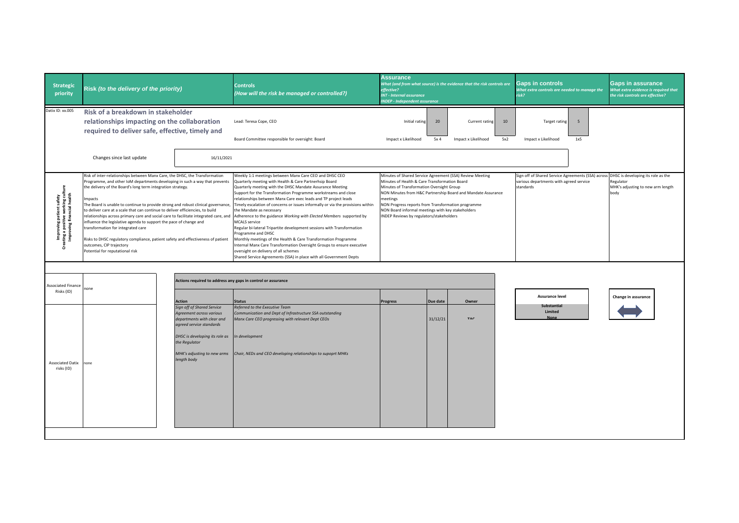| <b>Strategic</b><br>priority                                                                                                                                                                                                                                                                                                                                      | Risk (to the delivery of the priority)                                                                                                                                                                                                                                                                                                                                                                                                                                                                                                                                                                                                                                                                                                                             |                                                                                                                                                                                                                                                                                                           | <b>Controls</b><br>(How will the risk be managed or controlled?)                                                                                                                                                                                                                                                                                                                                                                                                                                                                                                                                                                                                                                                                                                                                                                                                                           | <b>Assurance</b><br>effective?<br><b>INT - Internal assurance</b><br><b>NDEP - Independent assurance</b>                                                                                                                                                                                                                                                                                  |                       | What (and from what source) is the evidence that the risk controls are | <b>Gaps in controls</b><br>What extra controls are needed to manage the<br>risk? |                                         | <b>Gaps in assurance</b><br>What extra evidence is required that<br>the risk controls are effective?                                            |  |
|-------------------------------------------------------------------------------------------------------------------------------------------------------------------------------------------------------------------------------------------------------------------------------------------------------------------------------------------------------------------|--------------------------------------------------------------------------------------------------------------------------------------------------------------------------------------------------------------------------------------------------------------------------------------------------------------------------------------------------------------------------------------------------------------------------------------------------------------------------------------------------------------------------------------------------------------------------------------------------------------------------------------------------------------------------------------------------------------------------------------------------------------------|-----------------------------------------------------------------------------------------------------------------------------------------------------------------------------------------------------------------------------------------------------------------------------------------------------------|--------------------------------------------------------------------------------------------------------------------------------------------------------------------------------------------------------------------------------------------------------------------------------------------------------------------------------------------------------------------------------------------------------------------------------------------------------------------------------------------------------------------------------------------------------------------------------------------------------------------------------------------------------------------------------------------------------------------------------------------------------------------------------------------------------------------------------------------------------------------------------------------|-------------------------------------------------------------------------------------------------------------------------------------------------------------------------------------------------------------------------------------------------------------------------------------------------------------------------------------------------------------------------------------------|-----------------------|------------------------------------------------------------------------|----------------------------------------------------------------------------------|-----------------------------------------|-------------------------------------------------------------------------------------------------------------------------------------------------|--|
| Datix ID: xx.005                                                                                                                                                                                                                                                                                                                                                  | Risk of a breakdown in stakeholder<br>relationships impacting on the collaboration<br>required to deliver safe, effective, timely and<br>Changes since last update                                                                                                                                                                                                                                                                                                                                                                                                                                                                                                                                                                                                 | 16/11/2021                                                                                                                                                                                                                                                                                                | Lead: Teresa Cope, CEO<br>Board Committee responsible for oversight: Board                                                                                                                                                                                                                                                                                                                                                                                                                                                                                                                                                                                                                                                                                                                                                                                                                 | Initial rating<br>Impact x Likelihood                                                                                                                                                                                                                                                                                                                                                     | 20<br>5x <sub>4</sub> | Current rating<br>Impact x Likelihood                                  | 10<br><b>Target rating</b><br>5x2<br>Impact x Likelihood                         | 5<br>1x5                                |                                                                                                                                                 |  |
| : safety<br>king culture<br>I health<br>proving patient safet;<br>3 a positive working c<br>roving financial healt<br>en en de la política<br>En 1865, en 1866, en 1866, en 1866, en 1866, en 1866, en 1866, en 1866, en 1866, en 1866, en 1866, en 1866, e<br>En 1866, en 1866, en 1866, en 1866, en 1866, en 1866, en 1866, en 1866, en 1866, en 1866, e<br>င်း | Risk of inter-relationships between Manx Care, the DHSC, the Transformation<br>Programme, and other IoM departments developing in such a way that prevents<br>the delivery of the Board's long term integration strategy.<br>Impacts<br>The Board is unable to continue to provide strong and robust clinical governance,<br>to deliver care at a scale that can continue to deliver efficiencies, to build<br>relationships across primary care and social care to facilitate integrated care, and<br>influence the legislative agenda to support the pace of change and<br>transformation for integrated care<br>Risks to DHSC regulatory compliance, patient safety and effectiveness of patient<br>outcomes, CIP trajectory<br>Potential for reputational risk |                                                                                                                                                                                                                                                                                                           | Weekly 1:1 meetings between Manx Care CEO and DHSC CEO<br>Quarterly meeting with Health & Care Partnerhsip Board<br>Quarterly meeting with the DHSC Mandate Assurance Meeting<br>Support for the Transformation Programme workstreams and close<br>relationships between Manx Care exec leads and TP project leads<br>Timely escalation of concerns or issues informally or via the provisions within<br>the Mandate as necessary<br>Adherence to the guidance Working with Elected Members supported by<br><b>MCALS</b> service<br>Regular bi-lateral Tripartite development sessions with Transformation<br>Programme and DHSC<br>Monthly meetings of the Health & Care Transformation Programme<br>Internal Manx Care Transformation Oversight Groups to ensure executive<br>oversight on delivery of all schemes<br>Shared Service Agreements (SSA) in place with all Government Depts | Minutes of Shared Service Agreement (SSA) Review Meeting<br>Minutes of Health & Care Transformation Board<br>Minutes of Transformation Oversight Group<br>NON Minutes from H&C Partnership Board and Mandate Assurance<br>neetings<br>NON Progress reports from Transformation programme<br>NON Board informal meetings with key stakeholders<br>INDEP Reviews by regulators/stakeholders |                       |                                                                        |                                                                                  | various departments with agreed service | Sign off of Shared Service Agreements (SSA) across DHSC is developing its role as the<br>Regulator<br>MHK's adjusting to new arm length<br>body |  |
| <b>Associated Finance</b><br>Risks (ID)<br><b>Associated Datix</b><br>risks (ID)                                                                                                                                                                                                                                                                                  | none<br>none                                                                                                                                                                                                                                                                                                                                                                                                                                                                                                                                                                                                                                                                                                                                                       | Actions required to address any gaps in control or assurance<br><b>Action</b><br><b>Sign off of Shared Service</b><br>Agreement across various<br>departments with clear and<br>agreed service standards<br>DHSC is developing its role as<br>the Regulator<br>MHK's adjusting to new arms<br>length body | <b>Status</b><br>Referred to the Executive Team<br>Communication and Dept of Infrastructure SSA outstanding<br>Manx Care CEO progressing with relevant Dept CEOs<br>In development<br>Chair, NEDs and CEO developing relationships to supoprt MHKs                                                                                                                                                                                                                                                                                                                                                                                                                                                                                                                                                                                                                                         | <b>Progress</b>                                                                                                                                                                                                                                                                                                                                                                           | Due date<br>31/12/21  | Owner<br>TAC                                                           | Assurance level<br>Substantial<br>Limited<br><b>None</b>                         |                                         | Change in assurance                                                                                                                             |  |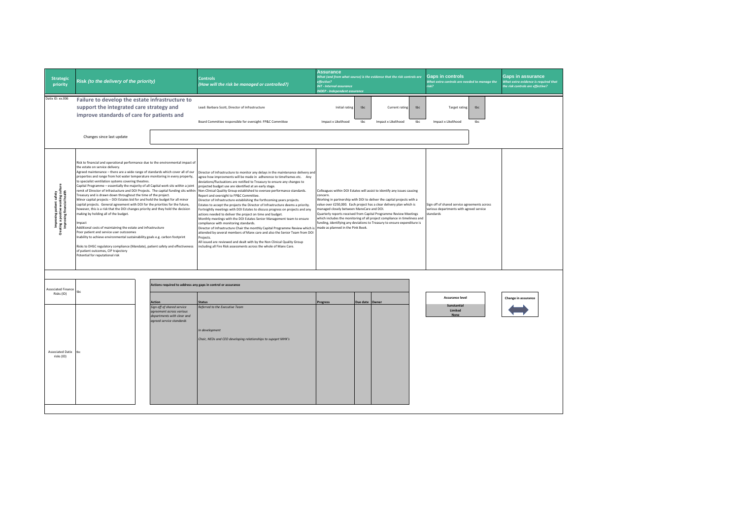| <b>Strategic</b><br>priority                                                                   | Risk (to the delivery of the priority)                                                                                                                                                                                                                                                                                                                                                                                                                                                                                                                                                                                                                                                                                                                                                                                                                                                                                                                                                                                                                                                                                                                                                                                                                                 |                                                                                                                                                                                                   | <b>Controls</b><br>(How will the risk be managed or controlled?)                                                                                                                                                                                                                                                                                                                                                                                                                                                                                                                                                                                                                                                                                                                                                                                                                                                                                                                                                                                                                                                                                                                       | <b>Assurance</b><br>effective?<br><b>INT - Internal assurance</b><br><b>INDEP - Independent assurance</b>                                                                                                                                                                                                                                                                                                                                                                                                                                              |            | What (and from what source) is the evidence that the risk controls are |            | <b>Gaps in controls</b><br>What extra controls are needed to manage the<br>risk?                     |            | <b>Gaps in assurance</b><br>What extra evidence is required that<br>the risk controls are effective? |
|------------------------------------------------------------------------------------------------|------------------------------------------------------------------------------------------------------------------------------------------------------------------------------------------------------------------------------------------------------------------------------------------------------------------------------------------------------------------------------------------------------------------------------------------------------------------------------------------------------------------------------------------------------------------------------------------------------------------------------------------------------------------------------------------------------------------------------------------------------------------------------------------------------------------------------------------------------------------------------------------------------------------------------------------------------------------------------------------------------------------------------------------------------------------------------------------------------------------------------------------------------------------------------------------------------------------------------------------------------------------------|---------------------------------------------------------------------------------------------------------------------------------------------------------------------------------------------------|----------------------------------------------------------------------------------------------------------------------------------------------------------------------------------------------------------------------------------------------------------------------------------------------------------------------------------------------------------------------------------------------------------------------------------------------------------------------------------------------------------------------------------------------------------------------------------------------------------------------------------------------------------------------------------------------------------------------------------------------------------------------------------------------------------------------------------------------------------------------------------------------------------------------------------------------------------------------------------------------------------------------------------------------------------------------------------------------------------------------------------------------------------------------------------------|--------------------------------------------------------------------------------------------------------------------------------------------------------------------------------------------------------------------------------------------------------------------------------------------------------------------------------------------------------------------------------------------------------------------------------------------------------------------------------------------------------------------------------------------------------|------------|------------------------------------------------------------------------|------------|------------------------------------------------------------------------------------------------------|------------|------------------------------------------------------------------------------------------------------|
| Datix ID: xx.006                                                                               | Failure to develop the estate infrastructure to<br>support the integrated care strategy and<br>improve standards of care for patients and<br>Changes since last update                                                                                                                                                                                                                                                                                                                                                                                                                                                                                                                                                                                                                                                                                                                                                                                                                                                                                                                                                                                                                                                                                                 |                                                                                                                                                                                                   | Lead: Barbara Scott, Director of Infrastructure<br>Board Committee responsible for oversight: FP&C Committee                                                                                                                                                                                                                                                                                                                                                                                                                                                                                                                                                                                                                                                                                                                                                                                                                                                                                                                                                                                                                                                                           | Initial rating<br>Impact x Likelihood                                                                                                                                                                                                                                                                                                                                                                                                                                                                                                                  | tbc<br>tbc | <b>Current rating</b><br>Impact x Likelihood                           | tbc<br>tbc | <b>Target rating</b><br>Impact x Likelihood                                                          | tbc<br>tbc |                                                                                                      |
| Improving patient safety<br>aating a positive working cultu<br>Improving financial health<br>ğ | Risk to financial and operational performance due to the environmental impact of<br>the estate on service delivery.<br>Agreed maintenance - there are a wide range of standards which cover all of our<br>properties and range from hot water temperature monitoring in every property,<br>to specialist ventilation systems covering theatres.<br>Capital Programme - essentially the majority of all Capital work sits within a joint<br>remit of Director of Infrastucture and DOI Projects. The capital funding sits within<br>Treasury and is drawn down throughout the time of the project.<br>Minor capital projects - DOI Estates bid for and hold the budget for all minor<br>capital projects. General agreement with DOI for the priorities for the future,<br>however, this is a risk that the DOI changes priority and they hold the decision<br>making by holding all of the budget.<br>Impact<br>Additional costs of maintaining the estate and infrastructure<br>Poor natient and service user outcoomes<br>Inability to achieve environmental sustainability goals e.g. carbon footprint<br>Risks to DHSC regulatory compliance (Mandate), patient safety and effectiveness<br>of patient outcomes, CIP trajectory<br>Potential for reputational risk |                                                                                                                                                                                                   | Director of Infrastructure to monitor any delays in the maintenance delivery and<br>agree how improvments will be made in adherence to timeframes etc. Any<br>deviations/fluctuations are notified to Treasury to ensure any changes to<br>projected budget use are identified at an early stage.<br>Non-Clinical Quality Group established to oversee performance standards.<br>Report and oversight to FP&C Committee.<br>Director of Infrastructure establishing the forthcoming years projects.<br>Estates to accept the projects the Director of Infrastructure deems a priority.<br>Fortnightly meetings with DOI Estates to discuss progress on projects and any<br>actions needed to deliver the project on time and budget.<br>Monthly meetings with the DOI Estates Senior Management team to ensure<br>compliance with monitoring standards.<br>Director of Infrastructure Chair the monthly Capital Programme Review which is<br>attended by several members of Manx care and also the Senior Team from DOI<br>Projects.<br>All issued are reviewed and dealt with by the Non Clinical Quality Group<br>including all Fire Risk assessments across the whole of Manx Care. | Colleagues within DOI Estates will assist to identify any issues causing<br>concern.<br>Working in partnership with DOI to deliver the capital projects with a<br>value over £250,000. Each project has a clear delivery plan which is<br>managed closely between ManxCare and DOI.<br>Quarterly reports received from Capital Programme Review Meetings<br>which includes the monitoring of all project compliance in timeliness and<br>funding, identifying any deviations to Treasury to ensure expenditure is<br>made as planned in the Pink Book. |            |                                                                        |            | Sign off of shared service agreements across<br>various departments with agreed service<br>standards |            |                                                                                                      |
| <b>Associated Finance</b><br>Risks (ID)<br><b>Associated Datix</b><br>risks (ID)               | tbo<br>thr                                                                                                                                                                                                                                                                                                                                                                                                                                                                                                                                                                                                                                                                                                                                                                                                                                                                                                                                                                                                                                                                                                                                                                                                                                                             | Actions required to address any gaps in control or assurance<br><b>Action</b><br>Sign off of shared service<br>agreement across various<br>departments with clear and<br>agreed service standards | <b>Status</b><br>Referred to the Executive Team<br>In development<br>Chair, NEDs and CEO developing relationships to supoprt MHK's                                                                                                                                                                                                                                                                                                                                                                                                                                                                                                                                                                                                                                                                                                                                                                                                                                                                                                                                                                                                                                                     | Progress                                                                                                                                                                                                                                                                                                                                                                                                                                                                                                                                               | Due date   | Owne                                                                   |            | <b>Assurance level</b><br>Sunstantial<br>Limited<br><b>None</b>                                      |            | Change in assurance                                                                                  |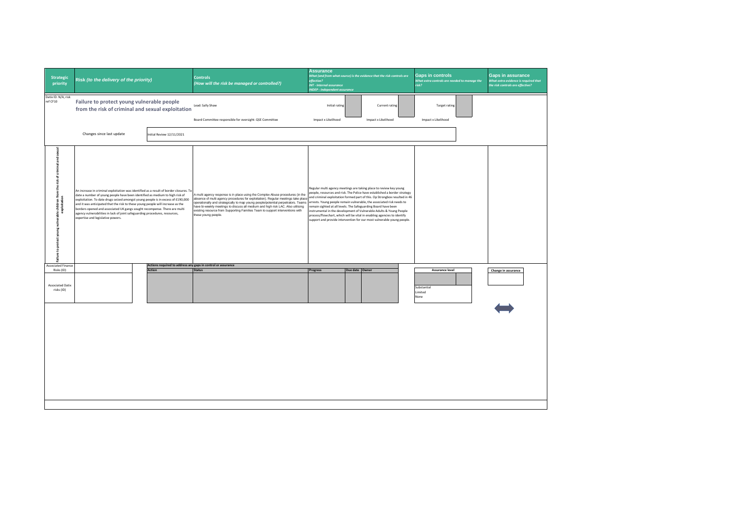| <b>Strategic</b><br>priority                                                                                           | Risk (to the delivery of the priority)                                                                                                                                                                                                                                                                                                                                                                                                                                                                                                         |  |                                                                        | <b>Controls</b><br>(How will the risk be managed or controlled?)                                                                                                                                                                                                                                                                                                                                                                                    | <b>Assurance</b><br>What (and from what source) is the evidence that the risk controls are<br>effective?<br><b>INT - Internal assurance</b><br><b>INDEP - Independent assurance</b> |                |                                                                                                                                                                                                                                                                                                                                                                                                                                                                                                                                                                                                      | <b>Gaps in controls</b><br>What extra controls are needed to manage the<br>risk? |                                             | <b>Gaps in assurance</b><br>What extra evidence is required that<br>the risk controls are effective? |                     |
|------------------------------------------------------------------------------------------------------------------------|------------------------------------------------------------------------------------------------------------------------------------------------------------------------------------------------------------------------------------------------------------------------------------------------------------------------------------------------------------------------------------------------------------------------------------------------------------------------------------------------------------------------------------------------|--|------------------------------------------------------------------------|-----------------------------------------------------------------------------------------------------------------------------------------------------------------------------------------------------------------------------------------------------------------------------------------------------------------------------------------------------------------------------------------------------------------------------------------------------|-------------------------------------------------------------------------------------------------------------------------------------------------------------------------------------|----------------|------------------------------------------------------------------------------------------------------------------------------------------------------------------------------------------------------------------------------------------------------------------------------------------------------------------------------------------------------------------------------------------------------------------------------------------------------------------------------------------------------------------------------------------------------------------------------------------------------|----------------------------------------------------------------------------------|---------------------------------------------|------------------------------------------------------------------------------------------------------|---------------------|
| Datix ID: N/A, risk<br>ref CF10                                                                                        | Failure to protect young vulnerable people<br>from the risk of criminal and sexual exploitation                                                                                                                                                                                                                                                                                                                                                                                                                                                |  |                                                                        | Lead: Sally Shaw<br>Board Committee responsible for oversight: QSE Committee                                                                                                                                                                                                                                                                                                                                                                        | Initial rating<br>Impact x Likelihood                                                                                                                                               |                | Current rating<br>Impact x Likelihood                                                                                                                                                                                                                                                                                                                                                                                                                                                                                                                                                                |                                                                                  | <b>Target rating</b><br>Impact x Likelihood |                                                                                                      |                     |
|                                                                                                                        | Changes since last update                                                                                                                                                                                                                                                                                                                                                                                                                                                                                                                      |  | Initial Review 12/11/2021                                              |                                                                                                                                                                                                                                                                                                                                                                                                                                                     |                                                                                                                                                                                     |                |                                                                                                                                                                                                                                                                                                                                                                                                                                                                                                                                                                                                      |                                                                                  |                                             |                                                                                                      |                     |
| criminal and sexual<br>protect young vulnerable children from the risk of<br>exploitation<br>g.<br>ailure <sup>1</sup> | An increase in criminal exploitation was identified as a result of border closures. To<br>date a number of young people have been identified as medium to high risk of<br>exploitation. To date drugs seized amongst young people is in excess of £190,000<br>and it was anticipated that the risk to these young people will increase as the<br>borders opened and associated UK gangs sought recompense. There are multi<br>agency vulnerabilities in lack of joint safeguarding procedures, resources,<br>expertise and legislative powers. |  |                                                                        | A multi agency response is in place using the Complex Abuse procedures (in the<br>absence of multi agency procedures for exploitation). Regular meetings take place<br>operationally and strategically to map young people/potential perpetrators. Teams<br>have bi-weekly meetings to discuss all medium and high risk LAC. Also utilising<br>existing resource from Supporting Families Team to support interventions with<br>these young people. |                                                                                                                                                                                     |                | Regular multi agency meetings are taking place to review key young<br>people, resources and risk. The Police have established a border strategy<br>and criminal exploitation formed part of this. Op Strongbox resulted in 46<br>arrests. Young people remain vulnerable, the associated risk needs to<br>remain sighted at all levels. The Safeguarding Board have been<br>instrumental in the development of Vulnerable Adults & Young People<br>process/flowchart, which will be vital in enabling agencies to identify<br>support and provide intervention for our most vulnerable young people. |                                                                                  |                                             |                                                                                                      |                     |
| <b>Associated Finance</b><br>Risks (ID)                                                                                |                                                                                                                                                                                                                                                                                                                                                                                                                                                                                                                                                |  | Actions required to address any gaps in control or assurance<br>Action | <b>Status</b>                                                                                                                                                                                                                                                                                                                                                                                                                                       | Progress                                                                                                                                                                            | Due date Owner |                                                                                                                                                                                                                                                                                                                                                                                                                                                                                                                                                                                                      |                                                                                  | <b>Assurance level</b>                      |                                                                                                      | Change in assurance |
| <b>Associated Datix</b><br>risks (ID)                                                                                  |                                                                                                                                                                                                                                                                                                                                                                                                                                                                                                                                                |  |                                                                        |                                                                                                                                                                                                                                                                                                                                                                                                                                                     |                                                                                                                                                                                     |                |                                                                                                                                                                                                                                                                                                                                                                                                                                                                                                                                                                                                      |                                                                                  | Substantial<br>Limited<br>None              |                                                                                                      |                     |
|                                                                                                                        |                                                                                                                                                                                                                                                                                                                                                                                                                                                                                                                                                |  |                                                                        |                                                                                                                                                                                                                                                                                                                                                                                                                                                     |                                                                                                                                                                                     |                |                                                                                                                                                                                                                                                                                                                                                                                                                                                                                                                                                                                                      |                                                                                  |                                             |                                                                                                      |                     |